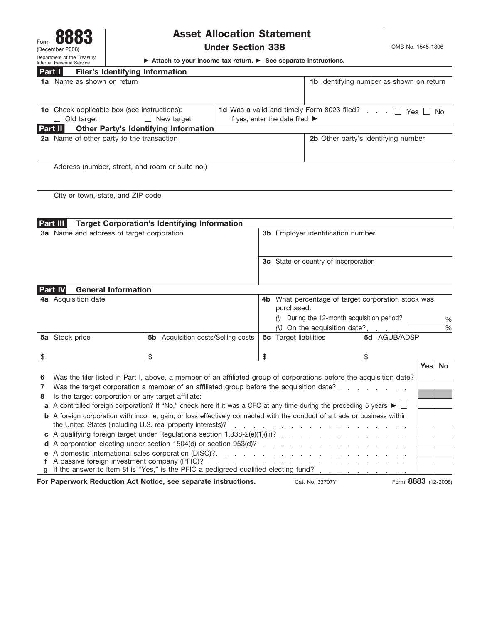

## Asset Allocation Statement

OMB No. 1545-1806

▶ Attach to your income tax return. ▶ See separate instructions.

| <b>Part I</b><br><b>Filer's Identifying Information</b>                 |                                                                 |
|-------------------------------------------------------------------------|-----------------------------------------------------------------|
| <b>1a</b> Name as shown on return                                       | <b>1b</b> Identifying number as shown on return                 |
| <b>1c</b> Check applicable box (see instructions):<br>$\Box$ New target | 1d Was a valid and timely Form 8023 filed? $\Box$ Yes $\Box$ No |
| Old target                                                              | If yes, enter the date filed $\blacktriangleright$              |
| <b>Other Party's Identifying Information</b><br><b>Part II</b>          |                                                                 |
| <b>2a</b> Name of other party to the transaction                        | <b>2b</b> Other party's identifying number                      |
| Address (number, street, and room or suite no.)                         |                                                                 |

City or town, state, and ZIP code

A corporation electing under section 1504(d) or section 953(d)? **d**

**f** A passive foreign investment company (PFIC)? **g** If the answer to item 8f is "Yes," is the PFIC a pedigreed qualified electing fund?

A domestic international sales corporation (DISC)? **e**

|   | <b>Part III</b>                                                                                                                                                                                                                                                                                                                                                                                                                                                                                                   | <b>Target Corporation's Identifying Information</b> |                                          |                                                               |              |     |               |
|---|-------------------------------------------------------------------------------------------------------------------------------------------------------------------------------------------------------------------------------------------------------------------------------------------------------------------------------------------------------------------------------------------------------------------------------------------------------------------------------------------------------------------|-----------------------------------------------------|------------------------------------------|---------------------------------------------------------------|--------------|-----|---------------|
|   | 3a Name and address of target corporation                                                                                                                                                                                                                                                                                                                                                                                                                                                                         |                                                     | <b>3b</b> Employer identification number |                                                               |              |     |               |
|   |                                                                                                                                                                                                                                                                                                                                                                                                                                                                                                                   |                                                     |                                          | <b>3c</b> State or country of incorporation                   |              |     |               |
|   | <b>General Information</b><br><b>Part IV</b>                                                                                                                                                                                                                                                                                                                                                                                                                                                                      |                                                     |                                          |                                                               |              |     |               |
|   | 4a Acquisition date                                                                                                                                                                                                                                                                                                                                                                                                                                                                                               |                                                     | 4b                                       | What percentage of target corporation stock was<br>purchased: |              |     |               |
|   |                                                                                                                                                                                                                                                                                                                                                                                                                                                                                                                   |                                                     |                                          | During the 12-month acquisition period?                       |              |     | $\frac{0}{0}$ |
|   |                                                                                                                                                                                                                                                                                                                                                                                                                                                                                                                   |                                                     |                                          | (ii) On the acquisition date?                                 |              |     | $\frac{0}{0}$ |
|   | 5a Stock price                                                                                                                                                                                                                                                                                                                                                                                                                                                                                                    | <b>5b</b> Acquisition costs/Selling costs           |                                          | <b>5c</b> Target liabilities                                  | 5d AGUB/ADSP |     |               |
| S |                                                                                                                                                                                                                                                                                                                                                                                                                                                                                                                   | \$                                                  | \$.                                      |                                                               | \$           |     |               |
|   |                                                                                                                                                                                                                                                                                                                                                                                                                                                                                                                   |                                                     |                                          |                                                               |              | Yes | <b>No</b>     |
| 6 | Was the filer listed in Part I, above, a member of an affiliated group of corporations before the acquisition date?<br>Was the target corporation a member of an affiliated group before the acquisition date?                                                                                                                                                                                                                                                                                                    |                                                     |                                          |                                                               |              |     |               |
|   |                                                                                                                                                                                                                                                                                                                                                                                                                                                                                                                   |                                                     |                                          |                                                               |              |     |               |
| 8 | Is the target corporation or any target affiliate:                                                                                                                                                                                                                                                                                                                                                                                                                                                                |                                                     |                                          |                                                               |              |     |               |
|   | A controlled foreign corporation? If "No," check here if it was a CFC at any time during the preceding 5 years $\blacktriangleright \Box$<br>a<br><b>b</b> A foreign corporation with income, gain, or loss effectively connected with the conduct of a trade or business within<br>the United States (including U.S. real property interests)?<br>and a series of the contract of the contract of the contract of the contract of<br>c A qualifying foreign target under Regulations section 1.338-2(e)(1)(iii)? |                                                     |                                          |                                                               |              |     |               |
|   |                                                                                                                                                                                                                                                                                                                                                                                                                                                                                                                   |                                                     |                                          |                                                               |              |     |               |
|   |                                                                                                                                                                                                                                                                                                                                                                                                                                                                                                                   |                                                     |                                          |                                                               |              |     |               |

**For Paperwork Reduction Act Notice, see separate instructions.** Cat. No. 33707Y Form 8883 (12-2008)

Cat. No. 33707Y

 $\mathcal{L}$  $\mathbf{r}$ 

and a state of

 $\mathcal{L}$  $\bar{L}$ i. i.